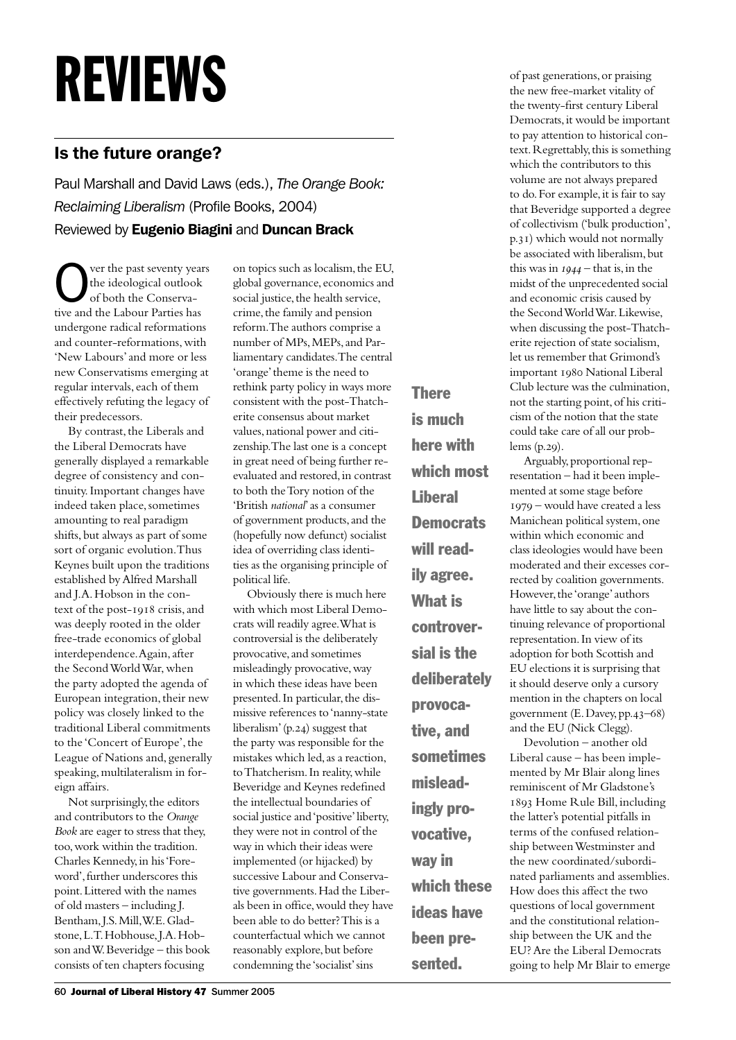## REVIEWS

## Is the future orange?

Paul Marshall and David Laws (eds.), *The Orange Book: Reclaiming Liberalism* (Profile Books, 2004) Reviewed by Eugenio Biagini and Duncan Brack

Over the past seventy years<br>the ideological outlook<br>of both the Conservathe ideological outlook tive and the Labour Parties has undergone radical reformations and counter-reformations, with 'New Labours' and more or less new Conservatisms emerging at regular intervals, each of them effectively refuting the legacy of their predecessors.

By contrast, the Liberals and the Liberal Democrats have generally displayed a remarkable degree of consistency and continuity. Important changes have indeed taken place, sometimes amounting to real paradigm shifts, but always as part of some sort of organic evolution. Thus Keynes built upon the traditions established by Alfred Marshall and J.A. Hobson in the context of the post-1918 crisis, and was deeply rooted in the older free-trade economics of global interdependence. Again, after the Second World War, when the party adopted the agenda of European integration, their new policy was closely linked to the traditional Liberal commitments to the 'Concert of Europe', the League of Nations and, generally speaking, multilateralism in foreign affairs.

Not surprisingly, the editors and contributors to the *Orange Book* are eager to stress that they, too, work within the tradition. Charles Kennedy, in his 'Foreword', further underscores this point. Littered with the names of old masters – including J. Bentham, J.S. Mill, W.E. Gladstone, L.T. Hobhouse, J.A. Hobson and W. Beveridge – this book consists of ten chapters focusing

on topics such as localism, the EU, global governance, economics and social justice, the health service, crime, the family and pension reform. The authors comprise a number of MPs, MEPs, and Parliamentary candidates. The central 'orange' theme is the need to rethink party policy in ways more consistent with the post-Thatcherite consensus about market values, national power and citizenship. The last one is a concept in great need of being further reevaluated and restored, in contrast to both the Tory notion of the 'British *national*' as a consumer of government products, and the (hopefully now defunct) socialist idea of overriding class identities as the organising principle of political life.

Obviously there is much here with which most Liberal Democrats will readily agree. What is controversial is the deliberately provocative, and sometimes misleadingly provocative, way in which these ideas have been presented. In particular, the dismissive references to 'nanny-state liberalism'  $(p.24)$  suggest that the party was responsible for the mistakes which led, as a reaction, to Thatcherism. In reality, while Beveridge and Keynes redefined the intellectual boundaries of social justice and 'positive' liberty, they were not in control of the way in which their ideas were implemented (or hijacked) by successive Labour and Conservative governments. Had the Liberals been in office, would they have been able to do better? This is a counterfactual which we cannot reasonably explore, but before condemning the 'socialist' sins

**There** is much here with which most **Liberal Democrats** will readily agree. What is controversial is the deliberately provocative, and sometimes misleadingly provocative, way in which these ideas have been pre-

sented.

of past generations, or praising the new free-market vitality of the twenty-first century Liberal Democrats, it would be important to pay attention to historical context. Regrettably, this is something which the contributors to this volume are not always prepared to do. For example, it is fair to say that Beveridge supported a degree of collectivism ('bulk production', p.31) which would not normally be associated with liberalism, but this was in  $1944$  – that is, in the midst of the unprecedented social and economic crisis caused by the Second World War. Likewise, when discussing the post-Thatcherite rejection of state socialism, let us remember that Grimond's important 1980 National Liberal Club lecture was the culmination, not the starting point, of his criticism of the notion that the state could take care of all our problems  $(p.29)$ .

Arguably, proportional representation – had it been implemented at some stage before – would have created a less Manichean political system, one within which economic and class ideologies would have been moderated and their excesses corrected by coalition governments. However, the 'orange' authors have little to say about the continuing relevance of proportional representation. In view of its adoption for both Scottish and EU elections it is surprising that it should deserve only a cursory mention in the chapters on local government (E. Davey, pp.43–68) and the EU (Nick Clegg).

Devolution – another old Liberal cause – has been implemented by Mr Blair along lines reminiscent of Mr Gladstone's 1893 Home Rule Bill, including the latter's potential pitfalls in terms of the confused relationship between Westminster and the new coordinated/subordinated parliaments and assemblies. How does this affect the two questions of local government and the constitutional relationship between the UK and the EU? Are the Liberal Democrats going to help Mr Blair to emerge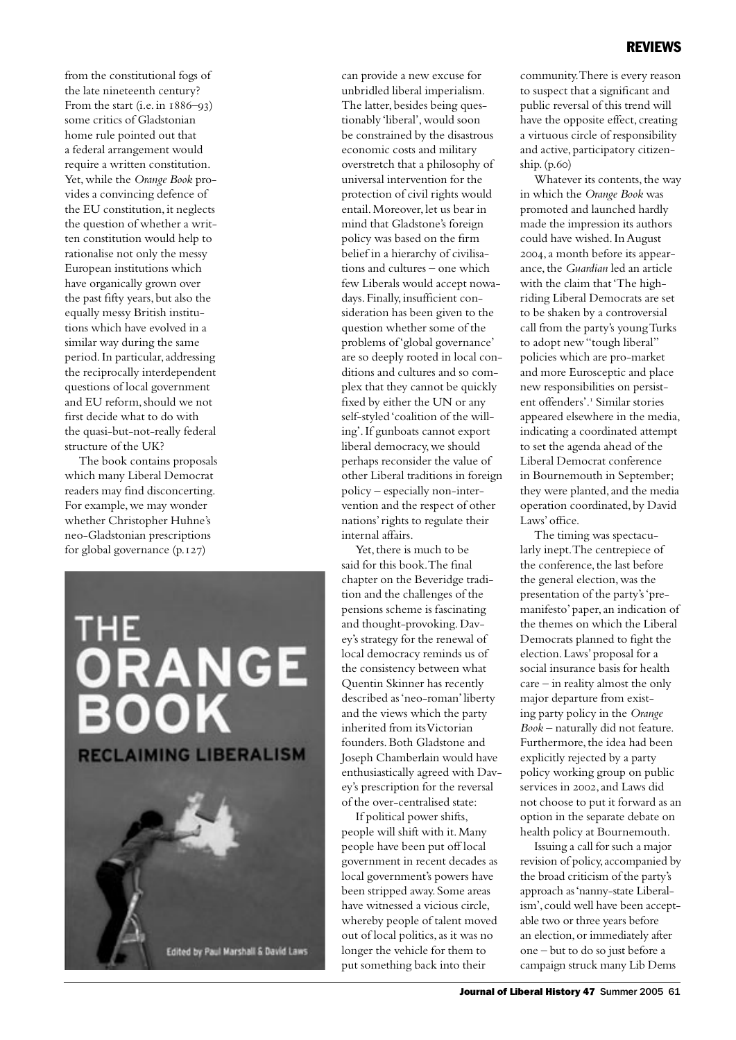from the constitutional fogs of the late nineteenth century? From the start (i.e. in  $1886 - 93$ ) some critics of Gladstonian home rule pointed out that a federal arrangement would require a written constitution. Yet, while the *Orange Book* provides a convincing defence of the EU constitution, it neglects the question of whether a written constitution would help to rationalise not only the messy European institutions which have organically grown over the past fifty years, but also the equally messy British institutions which have evolved in a similar way during the same period. In particular, addressing the reciprocally interdependent questions of local government and EU reform, should we not first decide what to do with the quasi-but-not-really federal structure of the UK?

The book contains proposals which many Liberal Democrat readers may find disconcerting. For example, we may wonder whether Christopher Huhne's neo-Gladstonian prescriptions for global governance  $(p.127)$ 



can provide a new excuse for unbridled liberal imperialism. The latter, besides being questionably 'liberal', would soon be constrained by the disastrous economic costs and military overstretch that a philosophy of universal intervention for the protection of civil rights would entail. Moreover, let us bear in mind that Gladstone's foreign policy was based on the firm belief in a hierarchy of civilisations and cultures – one which few Liberals would accept nowadays. Finally, insufficient consideration has been given to the question whether some of the problems of 'global governance' are so deeply rooted in local conditions and cultures and so complex that they cannot be quickly fixed by either the UN or any self-styled 'coalition of the willing'. If gunboats cannot export liberal democracy, we should perhaps reconsider the value of other Liberal traditions in foreign policy – especially non-intervention and the respect of other nations' rights to regulate their internal affairs.

Yet, there is much to be said for this book. The final chapter on the Beveridge tradition and the challenges of the pensions scheme is fascinating and thought-provoking. Davey's strategy for the renewal of local democracy reminds us of the consistency between what Quentin Skinner has recently described as 'neo-roman' liberty and the views which the party inherited from its Victorian founders. Both Gladstone and Joseph Chamberlain would have enthusiastically agreed with Davey's prescription for the reversal of the over-centralised state:

If political power shifts, people will shift with it. Many people have been put off local government in recent decades as local government's powers have been stripped away. Some areas have witnessed a vicious circle, whereby people of talent moved out of local politics, as it was no longer the vehicle for them to put something back into their

community. There is every reason to suspect that a significant and public reversal of this trend will have the opposite effect, creating a virtuous circle of responsibility and active, participatory citizenship.  $(p.60)$ 

Whatever its contents, the way in which the *Orange Book* was promoted and launched hardly made the impression its authors could have wished. In August , a month before its appearance, the *Guardian* led an article with the claim that 'The highriding Liberal Democrats are set to be shaken by a controversial call from the party's young Turks to adopt new "tough liberal" policies which are pro-market and more Eurosceptic and place new responsibilities on persistent offenders'. Similar stories appeared elsewhere in the media, indicating a coordinated attempt to set the agenda ahead of the Liberal Democrat conference in Bournemouth in September; they were planted, and the media operation coordinated, by David Laws' office.

The timing was spectacularly inept. The centrepiece of the conference, the last before the general election, was the presentation of the party's 'premanifesto' paper, an indication of the themes on which the Liberal Democrats planned to fight the election. Laws' proposal for a social insurance basis for health care – in reality almost the only major departure from existing party policy in the *Orange Book* – naturally did not feature. Furthermore, the idea had been explicitly rejected by a party policy working group on public services in 2002, and Laws did not choose to put it forward as an option in the separate debate on health policy at Bournemouth.

Issuing a call for such a major revision of policy, accompanied by the broad criticism of the party's approach as 'nanny-state Liberalism', could well have been acceptable two or three years before an election, or immediately after one – but to do so just before a campaign struck many Lib Dems